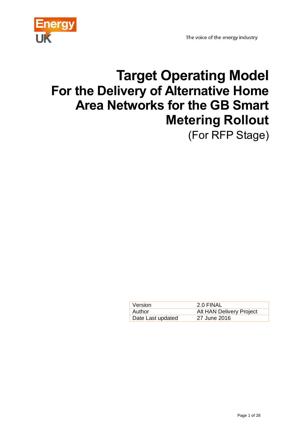

The voice of the energy industry

# **Target Operating Model For the Delivery of Alternative Home Area Networks for the GB Smart Metering Rollout** (For RFP Stage)

| Version           | 2.0 FINAL                |
|-------------------|--------------------------|
| Author            | Alt HAN Delivery Project |
| Date Last updated | 27 June 2016             |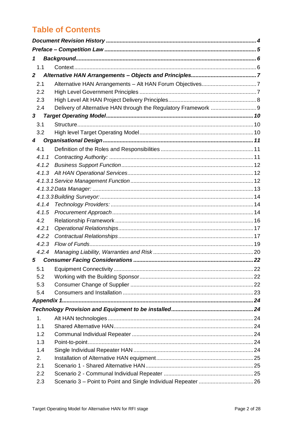# **Table of Contents**

| 1              |  |
|----------------|--|
| 1.1            |  |
| $\overline{2}$ |  |
| 2.1            |  |
| 2.2            |  |
| 2.3            |  |
| 2.4            |  |
| 3              |  |
| 3.1            |  |
| 3.2            |  |
| 4              |  |
| 4.1            |  |
| 4.1.1          |  |
| 4.1.2          |  |
| 4.1.3          |  |
|                |  |
|                |  |
|                |  |
| 4.1.4          |  |
| 4.1.5          |  |
| 4.2            |  |
| 4.2.1          |  |
| 4.2.2          |  |
| 4.2.3          |  |
| 4.2.4          |  |
| 5              |  |
| 5.1            |  |
| 5.2            |  |
| 5.3            |  |
| 5.4            |  |
|                |  |
|                |  |
| 1.             |  |
| 1.1            |  |
| 1.2            |  |
| 1.3            |  |
| 1.4            |  |
| 2.<br>2.1      |  |
| 2.2            |  |
| 2.3            |  |
|                |  |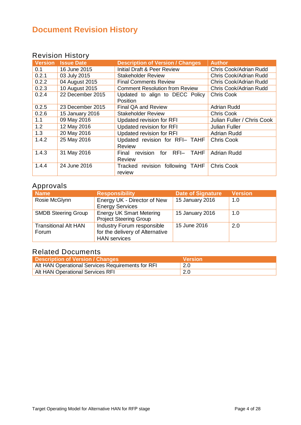# <span id="page-3-0"></span>**Document Revision History**

### Revision History

| <b>Version</b> | <b>Issue Date</b> | <b>Description of Version / Changes</b>           | <b>Author</b>              |
|----------------|-------------------|---------------------------------------------------|----------------------------|
| 0.1            | 16 June 2015      | Initial Draft & Peer Review                       | Chris Cook/Adrian Rudd     |
| 0.2.1          | 03 July 2015      | <b>Stakeholder Review</b>                         | Chris Cook/Adrian Rudd     |
| 0.2.2          | 04 August 2015    | <b>Final Comments Review</b>                      | Chris Cook/Adrian Rudd     |
| 0.2.3          | 10 August 2015    | <b>Comment Resolution from Review</b>             | Chris Cook/Adrian Rudd     |
| 0.2.4          | 22 December 2015  | Updated to align to DECC Policy                   | Chris Cook                 |
|                |                   | <b>Position</b>                                   |                            |
| 0.2.5          | 23 December 2015  | Final QA and Review                               | <b>Adrian Rudd</b>         |
| 0.2.6          | 15 January 2016   | <b>Stakeholder Review</b>                         | <b>Chris Cook</b>          |
| 1.1            | 09 May 2016       | Updated revision for RFI                          | Julian Fuller / Chris Cook |
| 1.2            | 12 May 2016       | Updated revision for RFI                          | <b>Julian Fuller</b>       |
| 1.3            | 20 May 2016       | <b>Updated revision for RFI</b>                   | <b>Adrian Rudd</b>         |
| 1.4.2          | 25 May 2016       | Updated revision for RFI- TAHF                    | <b>Chris Cook</b>          |
|                |                   | <b>Review</b>                                     |                            |
| 1.4.3          | 31 May 2016       | revision<br>$RFI-$<br><b>TAHF</b><br>for<br>Final | <b>Adrian Rudd</b>         |
|                |                   | Review                                            |                            |
| 1.4.4          | 24 June 2016      | revision following TAHF<br>Tracked<br>review      | <b>Chris Cook</b>          |

### Approvals

| <b>Name</b>                          | <b>Responsibility</b>                                                                | <b>Date of Signature</b> | <b>Version</b> |
|--------------------------------------|--------------------------------------------------------------------------------------|--------------------------|----------------|
| Rosie McGlynn                        | Energy UK - Director of New<br><b>Energy Services</b>                                | 15 January 2016          | 1.0            |
| <b>SMDB Steering Group</b>           | <b>Energy UK Smart Metering</b><br><b>Project Steering Group</b>                     | 15 January 2016          | 1.0            |
| <b>Transitional Alt HAN</b><br>Forum | Industry Forum responsible<br>for the delivery of Alternative<br><b>HAN</b> services | 15 June 2016             | 2.0            |

### Related Documents

| <b>Description of Version / Changes</b>           | Mersion! |
|---------------------------------------------------|----------|
| Alt HAN Operational Services Requirements for RFI | -2.0     |
| <b>Alt HAN Operational Services RFI</b>           | -2.0     |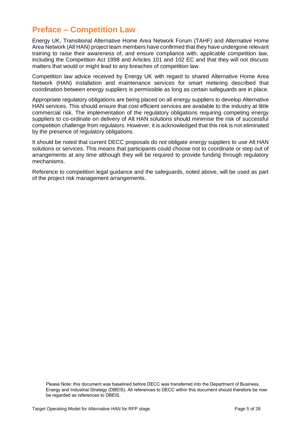# <span id="page-4-0"></span>**Preface – Competition Law**

Energy UK, Transitional Alternative Home Area Network Forum (TAHF) and Alternative Home Area Network (Alt HAN) project team members have confirmed that they have undergone relevant training to raise their awareness of, and ensure compliance with, applicable competition law, including the Competition Act 1998 and Articles 101 and 102 EC and that they will not discuss matters that would or might lead to any breaches of competition law.

Competition law advice received by Energy UK with regard to shared Alternative Home Area Network (HAN) installation and maintenance services for smart metering described that coordination between energy suppliers is permissible as long as certain safeguards are in place.

Appropriate regulatory obligations are being placed on all energy suppliers to develop Alternative HAN services. This should ensure that cost efficient services are available to the industry at little commercial risk. The implementation of the regulatory obligations requiring competing energy suppliers to co-ordinate on delivery of Alt HAN solutions should minimise the risk of successful competition challenge from regulators. However, it is acknowledged that this risk is not eliminated by the presence of regulatory obligations.

It should be noted that current DECC proposals do not obligate energy suppliers to use Alt HAN solutions or services. This means that participants could choose not to coordinate or step out of arrangements at any time although they will be required to provide funding through regulatory mechanisms.

Reference to competition legal guidance and the safeguards, noted above, will be used as part of the project risk management arrangements.

Please Note: this document was baselined before DECC was transferred into the Department of Business, Energy and Industrial Strategy (DBEIS). All references to DECC within this document should therefore be now be regarded as references to DBEIS.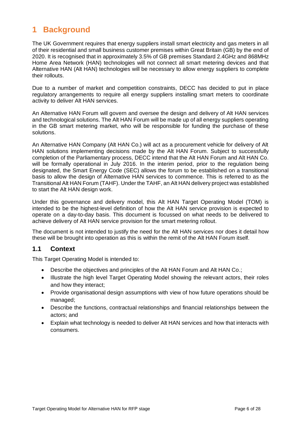# <span id="page-5-0"></span>**1 Background**

The UK Government requires that energy suppliers install smart electricity and gas meters in all of their residential and small business customer premises within Great Britain (GB) by the end of 2020. It is recognised that in approximately 3.5% of GB premises Standard 2.4GHz and 868MHz Home Area Network (HAN) technologies will not connect all smart metering devices and that Alternative HAN (Alt HAN) technologies will be necessary to allow energy suppliers to complete their rollouts.

Due to a number of market and competition constraints, DECC has decided to put in place regulatory arrangements to require all energy suppliers installing smart meters to coordinate activity to deliver Alt HAN services.

An Alternative HAN Forum will govern and oversee the design and delivery of Alt HAN services and technological solutions. The Alt HAN Forum will be made up of all energy suppliers operating in the GB smart metering market, who will be responsible for funding the purchase of these solutions.

An Alternative HAN Company (Alt HAN Co.) will act as a procurement vehicle for delivery of Alt HAN solutions implementing decisions made by the Alt HAN Forum. Subject to successfully completion of the Parliamentary process, DECC intend that the Alt HAN Forum and Alt HAN Co. will be formally operational in July 2016. In the interim period, prior to the regulation being designated, the Smart Energy Code (SEC) allows the forum to be established on a transitional basis to allow the design of Alternative HAN services to commence. This is referred to as the Transitional Alt HAN Forum (TAHF). Under the TAHF, an Alt HAN delivery project was established to start the Alt HAN design work.

Under this governance and delivery model, this Alt HAN Target Operating Model (TOM) is intended to be the highest-level definition of how the Alt HAN service provision is expected to operate on a day-to-day basis. This document is focussed on what needs to be delivered to achieve delivery of Alt HAN service provision for the smart metering rollout.

The document is not intended to justify the need for the Alt HAN services nor does it detail how these will be brought into operation as this is within the remit of the Alt HAN Forum itself.

#### <span id="page-5-1"></span>**1.1 Context**

This Target Operating Model is intended to:

- Describe the objectives and principles of the Alt HAN Forum and Alt HAN Co.;
- Illustrate the high level Target Operating Model showing the relevant actors, their roles and how they interact;
- Provide organisational design assumptions with view of how future operations should be managed;
- Describe the functions, contractual relationships and financial relationships between the actors; and
- Explain what technology is needed to deliver Alt HAN services and how that interacts with consumers.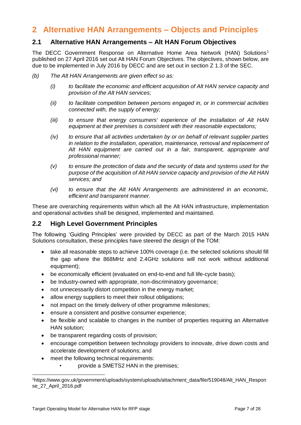### <span id="page-6-0"></span>**2 Alternative HAN Arrangements – Objects and Principles**

#### <span id="page-6-1"></span>**2.1 Alternative HAN Arrangements – Alt HAN Forum Objectives**

The DECC Government Response on Alternative Home Area Network (HAN) Solutions<sup>1</sup> published on 27 April 2016 set out Alt HAN Forum Objectives. The objectives, shown below, are due to be implemented in July 2016 by DECC and are set out in section Z 1.3 of the SEC.

- *(b) The Alt HAN Arrangements are given effect so as:*
	- *(i) to facilitate the economic and efficient acquisition of Alt HAN service capacity and provision of the Alt HAN services;*
	- *(ii) to facilitate competition between persons engaged in, or in commercial activities connected with, the supply of energy;*
	- *(iii) to ensure that energy consumers' experience of the installation of Alt HAN equipment at their premises is consistent with their reasonable expectations;*
	- *(iv) to ensure that all activities undertaken by or on behalf of relevant supplier parties in relation to the installation, operation, maintenance, removal and replacement of Alt HAN equipment are carried out in a fair, transparent, appropriate and professional manner;*
	- *(v) to ensure the protection of data and the security of data and systems used for the purpose of the acquisition of Alt HAN service capacity and provision of the Alt HAN services; and*
	- *(vi) to ensure that the Alt HAN Arrangements are administered in an economic, efficient and transparent manner.*

These are overarching requirements within which all the Alt HAN infrastructure, implementation and operational activities shall be designed, implemented and maintained.

#### <span id="page-6-2"></span>**2.2 High Level Government Principles**

The following 'Guiding Principles' were provided by DECC as part of the March 2015 HAN Solutions consultation, these principles have steered the design of the TOM:

- take all reasonable steps to achieve 100% coverage (i.e. the selected solutions should fill the gap where the 868MHz and 2.4GHz solutions will not work without additional equipment);
- be economically efficient (evaluated on end-to-end and full life-cycle basis);
- be Industry-owned with appropriate, non-discriminatory governance;
- not unnecessarily distort competition in the energy market;
- allow energy suppliers to meet their rollout obligations;
- not impact on the timely delivery of other programme milestones;
- ensure a consistent and positive consumer experience;
- be flexible and scalable to changes in the number of properties requiring an Alternative HAN solution;
- be transparent regarding costs of provision;
- encourage competition between technology providers to innovate, drive down costs and accelerate development of solutions; and
- meet the following technical requirements:
	- provide a SMETS2 HAN in the premises;

<sup>1</sup>https://www.gov.uk/government/uploads/system/uploads/attachment\_data/file/519048/Alt\_HAN\_Respon se\_27\_April\_2016.pdf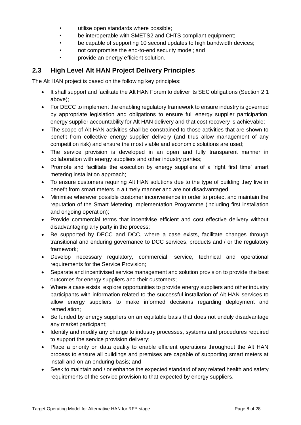- utilise open standards where possible;
- be interoperable with SMETS2 and CHTS compliant equipment;
- be capable of supporting 10 second updates to high bandwidth devices;
- not compromise the end-to-end security model; and
- provide an energy efficient solution.

#### <span id="page-7-0"></span>**2.3 High Level Alt HAN Project Delivery Principles**

The Alt HAN project is based on the following key principles:

- It shall support and facilitate the Alt HAN Forum to deliver its SEC obligations (Section 2.1 above);
- For DECC to implement the enabling regulatory framework to ensure industry is governed by appropriate legislation and obligations to ensure full energy supplier participation, energy supplier accountability for Alt HAN delivery and that cost recovery is achievable;
- The scope of Alt HAN activities shall be constrained to those activities that are shown to benefit from collective energy supplier delivery (and thus allow management of any competition risk) and ensure the most viable and economic solutions are used;
- The service provision is developed in an open and fully transparent manner in collaboration with energy suppliers and other industry parties;
- Promote and facilitate the execution by energy suppliers of a 'right first time' smart metering installation approach;
- To ensure customers requiring Alt HAN solutions due to the type of building they live in benefit from smart meters in a timely manner and are not disadvantaged;
- Minimise wherever possible customer inconvenience in order to protect and maintain the reputation of the Smart Metering Implementation Programme (including first installation and ongoing operation);
- Provide commercial terms that incentivise efficient and cost effective delivery without disadvantaging any party in the process;
- Be supported by DECC and DCC, where a case exists, facilitate changes through transitional and enduring governance to DCC services, products and / or the regulatory framework;
- Develop necessary regulatory, commercial, service, technical and operational requirements for the Service Provision;
- Separate and incentivised service management and solution provision to provide the best outcomes for energy suppliers and their customers;
- Where a case exists, explore opportunities to provide energy suppliers and other industry participants with information related to the successful installation of Alt HAN services to allow energy suppliers to make informed decisions regarding deployment and remediation;
- Be funded by energy suppliers on an equitable basis that does not unduly disadvantage any market participant;
- Identify and modify any change to industry processes, systems and procedures required to support the service provision delivery;
- Place a priority on data quality to enable efficient operations throughout the Alt HAN process to ensure all buildings and premises are capable of supporting smart meters at install and on an enduring basis; and
- Seek to maintain and / or enhance the expected standard of any related health and safety requirements of the service provision to that expected by energy suppliers.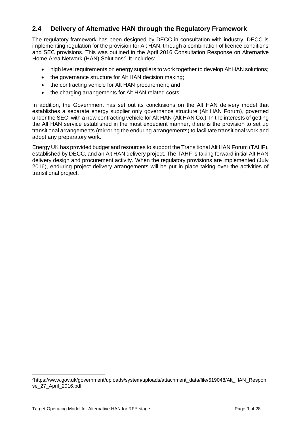### <span id="page-8-0"></span>**2.4 Delivery of Alternative HAN through the Regulatory Framework**

The regulatory framework has been designed by DECC in consultation with industry. DECC is implementing regulation for the provision for Alt HAN, through a combination of licence conditions and SEC provisions. This was outlined in the April 2016 Consultation Response on Alternative Home Area Network (HAN) Solutions<sup>2</sup>. It includes:

- high level requirements on energy suppliers to work together to develop Alt HAN solutions;
- the governance structure for Alt HAN decision making;
- the contracting vehicle for Alt HAN procurement; and
- the charging arrangements for Alt HAN related costs.

In addition, the Government has set out its conclusions on the Alt HAN delivery model that establishes a separate energy supplier only governance structure (Alt HAN Forum), governed under the SEC, with a new contracting vehicle for Alt HAN (Alt HAN Co.). In the interests of getting the Alt HAN service established in the most expedient manner, there is the provision to set up transitional arrangements (mirroring the enduring arrangements) to facilitate transitional work and adopt any preparatory work.

Energy UK has provided budget and resources to support the Transitional Alt HAN Forum (TAHF), established by DECC, and an Alt HAN delivery project. The TAHF is taking forward initial Alt HAN delivery design and procurement activity. When the regulatory provisions are implemented (July 2016), enduring project delivery arrangements will be put in place taking over the activities of transitional project.

<sup>2</sup>https://www.gov.uk/government/uploads/system/uploads/attachment\_data/file/519048/Alt\_HAN\_Respon se\_27\_April\_2016.pdf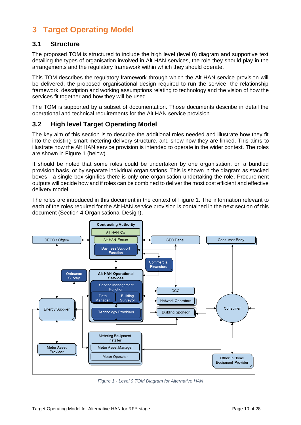# <span id="page-9-0"></span>**3 Target Operating Model**

#### <span id="page-9-1"></span>**3.1 Structure**

The proposed TOM is structured to include the high level (level 0) diagram and supportive text detailing the types of organisation involved in Alt HAN services, the role they should play in the arrangements and the regulatory framework within which they should operate.

This TOM describes the regulatory framework through which the Alt HAN service provision will be delivered, the proposed organisational design required to run the service, the relationship framework, description and working assumptions relating to technology and the vision of how the services fit together and how they will be used.

The TOM is supported by a subset of documentation. Those documents describe in detail the operational and technical requirements for the Alt HAN service provision.

#### <span id="page-9-2"></span>**3.2 High level Target Operating Model**

The key aim of this section is to describe the additional roles needed and illustrate how they fit into the existing smart metering delivery structure, and show how they are linked. This aims to illustrate how the Alt HAN service provision is intended to operate in the wider context. The roles are shown in Figure 1 (below).

It should be noted that some roles could be undertaken by one organisation, on a bundled provision basis, or by separate individual organisations. This is shown in the diagram as stacked boxes - a single box signifies there is only one organisation undertaking the role. Procurement outputs will decide how and if roles can be combined to deliver the most cost efficient and effective delivery model.

The roles are introduced in this document in the context of Figure 1. The information relevant to each of the roles required for the Alt HAN service provision is contained in the next section of this document (Section 4 Organisational Design).



*Figure 1 - Level 0 TOM Diagram for Alternative HAN*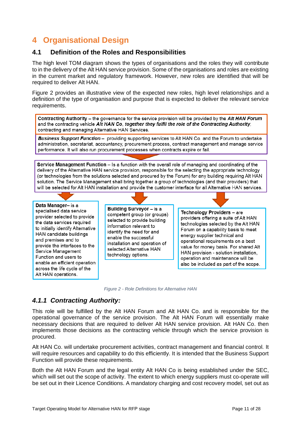# <span id="page-10-0"></span>**4 Organisational Design**

#### <span id="page-10-1"></span>**4.1 Definition of the Roles and Responsibilities**

The high level TOM diagram shows the types of organisations and the roles they will contribute to in the delivery of the Alt HAN service provision. Some of the organisations and roles are existing in the current market and regulatory framework. However, new roles are identified that will be required to deliver Alt HAN.

[Figure 2](#page-10-3) provides an illustrative view of the expected new roles, high level relationships and a definition of the type of organisation and purpose that is expected to deliver the relevant service requirements.

Contracting Authority - the governance for the service provision will be provided by the Alt HAN Forum and the contracting vehicle Alt HAN Co, together they fulfil the role of the Contracting Authority, contracting and managing Alternative HAN Services.

**Business Support Function** - providing supporting services to Alt HAN Co. and the Forum to undertake administration, secretariat, accountancy, procurement process, contract management and manage service performance. It will also run procurement processes when contracts expire or fail.

Service Management Function – Is a function with the overall role of managing and coordinating of the delivery of the Alternative HAN service provision, responsible for the selecting the appropriate technology (or technologies from the solutions selected and procured by the Forum) for any building requiring Alt HAN solution. The Service Management shall bring together a group of technologies (and their providers) that will be selected for Alt HAN installation and provide the customer interface for all Alternative HAN services.

Data Manager- is a specialised data service provider selected to provide the data services required to initially identify Alternative HAN candidate buildings and premises and to provide the interfaces to the Service Management Function and users to enable an efficient operation across the life cycle of the Alt HAN operations.

Building Surveyor - is a competent group (or groups) selected to provide building information relevant to identify the need for and enable the successful installation and operation of selected Alternative HAN technology options.

Technology Providers - are providers offering a suite of Alt HAN technologies selected by the Alt HAN Forum on a capability basis to meet energy supplier technical and operational requirements on a best value for money basis. For shared Alt HAN provision - solution installation, operation and maintenance will be also be included as part of the scope.



### <span id="page-10-3"></span><span id="page-10-2"></span>*4.1.1 Contracting Authority:*

This role will be fulfilled by the Alt HAN Forum and Alt HAN Co. and is responsible for the operational governance of the service provision. The Alt HAN Forum will essentially make necessary decisions that are required to deliver Alt HAN service provision. Alt HAN Co. then implements those decisions as the contracting vehicle through which the service provision is procured.

Alt HAN Co. will undertake procurement activities, contract management and financial control. It will require resources and capability to do this efficiently. It is intended that the Business Support Function will provide these requirements.

Both the Alt HAN Forum and the legal entity Alt HAN Co is being established under the SEC, which will set out the scope of activity. The extent to which energy suppliers must co-operate will be set out in their Licence Conditions. A mandatory charging and cost recovery model, set out as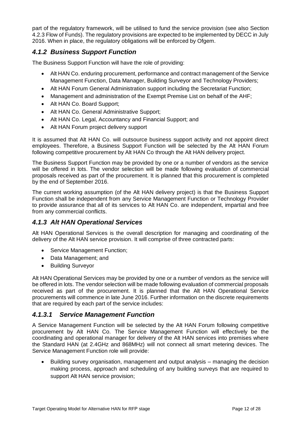part of the regulatory framework, will be utilised to fund the service provision (see also Section 4.2.3 Flow of Funds). The regulatory provisions are expected to be implemented by DECC in July 2016. When in place, the regulatory obligations will be enforced by Ofgem.

#### <span id="page-11-0"></span>*4.1.2 Business Support Function*

The Business Support Function will have the role of providing:

- Alt HAN Co. enduring procurement, performance and contract management of the Service Management Function, Data Manager, Building Surveyor and Technology Providers;
- Alt HAN Forum General Administration support including the Secretariat Function;
- Management and administration of the Exempt Premise List on behalf of the AHF;
- Alt HAN Co. Board Support;
- Alt HAN Co. General Administrative Support;
- Alt HAN Co. Legal, Accountancy and Financial Support; and
- Alt HAN Forum project delivery support

It is assumed that Alt HAN Co. will outsource business support activity and not appoint direct employees. Therefore, a Business Support Function will be selected by the Alt HAN Forum following competitive procurement by Alt HAN Co through the Alt HAN delivery project.

The Business Support Function may be provided by one or a number of vendors as the service will be offered in lots. The vendor selection will be made following evaluation of commercial proposals received as part of the procurement. It is planned that this procurement is completed by the end of September 2016.

The current working assumption (of the Alt HAN delivery project) is that the Business Support Function shall be independent from any Service Management Function or Technology Provider to provide assurance that all of its services to Alt HAN Co. are independent, impartial and free from any commercial conflicts.

#### <span id="page-11-1"></span>*4.1.3 Alt HAN Operational Services*

Alt HAN Operational Services is the overall description for managing and coordinating of the delivery of the Alt HAN service provision. It will comprise of three contracted parts:

- Service Management Function;
- Data Management; and
- Building Surveyor

Alt HAN Operational Services may be provided by one or a number of vendors as the service will be offered in lots. The vendor selection will be made following evaluation of commercial proposals received as part of the procurement. It is planned that the Alt HAN Operational Service procurements will commence in late June 2016. Further information on the discrete requirements that are required by each part of the service includes:

#### <span id="page-11-2"></span>*4.1.3.1 Service Management Function*

A Service Management Function will be selected by the Alt HAN Forum following competitive procurement by Alt HAN Co. The Service Management Function will effectively be the coordinating and operational manager for delivery of the Alt HAN services into premises where the Standard HAN (at 2.4GHz and 868MHz) will not connect all smart metering devices. The Service Management Function role will provide:

 Building survey organisation, management and output analysis – managing the decision making process, approach and scheduling of any building surveys that are required to support Alt HAN service provision;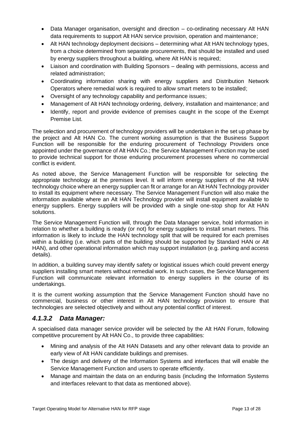- Data Manager organisation, oversight and direction co-ordinating necessary Alt HAN data requirements to support Alt HAN service provision, operation and maintenance;
- Alt HAN technology deployment decisions determining what Alt HAN technology types, from a choice determined from separate procurements, that should be installed and used by energy suppliers throughout a building, where Alt HAN is required;
- Liaison and coordination with Building Sponsors dealing with permissions, access and related administration;
- Coordinating information sharing with energy suppliers and Distribution Network Operators where remedial work is required to allow smart meters to be installed;
- Oversight of any technology capability and performance issues;
- Management of Alt HAN technology ordering, delivery, installation and maintenance; and
- Identify, report and provide evidence of premises caught in the scope of the Exempt Premise List.

The selection and procurement of technology providers will be undertaken in the set up phase by the project and Alt HAN Co. The current working assumption is that the Business Support Function will be responsible for the enduring procurement of Technology Providers once appointed under the governance of Alt HAN Co.; the Service Management Function may be used to provide technical support for those enduring procurement processes where no commercial conflict is evident.

As noted above, the Service Management Function will be responsible for selecting the appropriate technology at the premises level. It will inform energy suppliers of the Alt HAN technology choice where an energy supplier can fit or arrange for an Alt HAN Technology provider to install its equipment where necessary. The Service Management Function will also make the information available where an Alt HAN Technology provider will install equipment available to energy suppliers. Energy suppliers will be provided with a single one-stop shop for Alt HAN solutions.

The Service Management Function will, through the Data Manager service, hold information in relation to whether a building is ready (or not) for energy suppliers to install smart meters. This information is likely to include the HAN technology split that will be required for each premises within a building (i.e. which parts of the building should be supported by Standard HAN or Alt HAN), and other operational information which may support installation (e.g. parking and access details).

In addition, a building survey may identify safety or logistical issues which could prevent energy suppliers installing smart meters without remedial work. In such cases, the Service Management Function will communicate relevant information to energy suppliers in the course of its undertakings.

It is the current working assumption that the Service Management Function should have no commercial, business or other interest in Alt HAN technology provision to ensure that technologies are selected objectively and without any potential conflict of interest.

### <span id="page-12-0"></span>*4.1.3.2 Data Manager:*

A specialised data manager service provider will be selected by the Alt HAN Forum, following competitive procurement by Alt HAN Co., to provide three capabilities:

- Mining and analysis of the Alt HAN Datasets and any other relevant data to provide an early view of Alt HAN candidate buildings and premises.
- The design and delivery of the Information Systems and interfaces that will enable the Service Management Function and users to operate efficiently.
- Manage and maintain the data on an enduring basis (including the Information Systems and interfaces relevant to that data as mentioned above).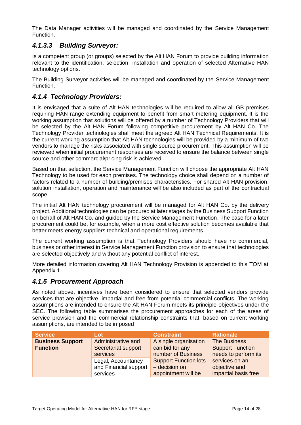The Data Manager activities will be managed and coordinated by the Service Management Function.

#### <span id="page-13-0"></span>*4.1.3.3 Building Surveyor:*

Is a competent group (or groups) selected by the Alt HAN Forum to provide building information relevant to the identification, selection, installation and operation of selected Alternative HAN technology options.

The Building Surveyor activities will be managed and coordinated by the Service Management Function.

#### <span id="page-13-1"></span>*4.1.4 Technology Providers:*

It is envisaged that a suite of Alt HAN technologies will be required to allow all GB premises requiring HAN range extending equipment to benefit from smart metering equipment. It is the working assumption that solutions will be offered by a number of Technology Providers that will be selected by the Alt HAN Forum following competitive procurement by Alt HAN Co. The Technology Provider technologies shall meet the agreed Alt HAN Technical Requirements. It is the current working assumption that Alt HAN technologies will be provided by a minimum of two vendors to manage the risks associated with single source procurement. This assumption will be reviewed when initial procurement responses are received to ensure the balance between single source and other commercial/pricing risk is achieved.

Based on that selection, the Service Management Function will choose the appropriate Alt HAN Technology to be used for each premises. The technology choice shall depend on a number of factors related to a number of building/premises characteristics. For shared Alt HAN provision, solution installation, operation and maintenance will be also included as part of the contractual scope.

The initial Alt HAN technology procurement will be managed for Alt HAN Co. by the delivery project. Additional technologies can be procured at later stages by the Business Support Function on behalf of Alt HAN Co. and guided by the Service Management Function. The case for a later procurement could be, for example, when a more cost effective solution becomes available that better meets energy suppliers technical and operational requirements.

The current working assumption is that Technology Providers should have no commercial, business or other interest in Service Management Function provision to ensure that technologies are selected objectively and without any potential conflict of interest.

More detailed information covering Alt HAN Technology Provision is appended to this TOM at Appendix 1.

#### <span id="page-13-2"></span>*4.1.5 Procurement Approach*

As noted above, incentives have been considered to ensure that selected vendors provide services that are objective, impartial and free from potential commercial conflicts. The working assumptions are intended to ensure the Alt HAN Forum meets its principle objectives under the SEC. The following table summarises the procurement approaches for each of the areas of service provision and the commercial relationship constraints that, based on current working assumptions, are intended to be imposed

| <b>Service</b>          | Lot                   | <b>Constraint</b>            | <b>Rationale</b>        |
|-------------------------|-----------------------|------------------------------|-------------------------|
| <b>Business Support</b> | Administrative and    | A single organisation        | <b>The Business</b>     |
| <b>Function</b>         | Secretariat support   | can bid for any              | <b>Support Function</b> |
|                         | services              | number of Business           | needs to perform its    |
|                         | Legal, Accountancy    | <b>Support Function lots</b> | services on an          |
|                         | and Financial support | $-$ decision on              | objective and           |
|                         | services              | appointment will be          | impartial basis free    |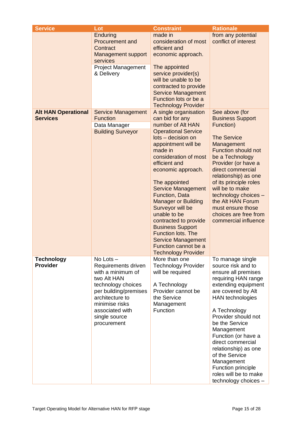| <b>Service</b>                                | Lot                                                                                                                                                                                                        | <b>Constraint</b>                                                                                                                                                                                                                                                                                                                                                                                                                                                                           | <b>Rationale</b>                                                                                                                                                                                                                                                                                                                                                                                               |
|-----------------------------------------------|------------------------------------------------------------------------------------------------------------------------------------------------------------------------------------------------------------|---------------------------------------------------------------------------------------------------------------------------------------------------------------------------------------------------------------------------------------------------------------------------------------------------------------------------------------------------------------------------------------------------------------------------------------------------------------------------------------------|----------------------------------------------------------------------------------------------------------------------------------------------------------------------------------------------------------------------------------------------------------------------------------------------------------------------------------------------------------------------------------------------------------------|
|                                               | <b>Enduring</b><br><b>Procurement and</b><br>Contract<br><b>Management support</b><br>services<br><b>Project Management</b><br>& Delivery                                                                  | made in<br>consideration of most<br>efficient and<br>economic approach.<br>The appointed<br>service provider(s)<br>will be unable to be<br>contracted to provide<br><b>Service Management</b><br>Function lots or be a<br><b>Technology Provider</b>                                                                                                                                                                                                                                        | from any potential<br>conflict of interest                                                                                                                                                                                                                                                                                                                                                                     |
| <b>Alt HAN Operational</b><br><b>Services</b> | <b>Service Management</b><br><b>Function</b><br>Data Manager<br><b>Building Surveyor</b>                                                                                                                   | A single organisation<br>can bid for any<br>number of Alt HAN<br><b>Operational Service</b><br>lots - decision on<br>appointment will be<br>made in<br>consideration of most<br>efficient and<br>economic approach.<br>The appointed<br><b>Service Management</b><br>Function, Data<br><b>Manager or Building</b><br>Surveyor will be<br>unable to be<br>contracted to provide<br><b>Business Support</b><br><b>Function lots. The</b><br><b>Service Management</b><br>Function cannot be a | See above (for<br><b>Business Support</b><br>Function)<br><b>The Service</b><br>Management<br><b>Function should not</b><br>be a Technology<br>Provider (or have a<br>direct commercial<br>relationship) as one<br>of its principle roles<br>will be to make<br>technology choices -<br>the Alt HAN Forum<br>must ensure those<br>choices are free from<br>commercial influence                                |
| <b>Technology</b><br><b>Provider</b>          | No Lots-<br>Requirements driven<br>with a minimum of<br>two Alt HAN<br>technology choices<br>per building/premises<br>architecture to<br>minimise risks<br>associated with<br>single source<br>procurement | <b>Technology Provider</b><br>More than one<br><b>Technology Provider</b><br>will be required<br>A Technology<br>Provider cannot be<br>the Service<br>Management<br>Function                                                                                                                                                                                                                                                                                                                | To manage single<br>source risk and to<br>ensure all premises<br>requiring HAN range<br>extending equipment<br>are covered by Alt<br><b>HAN technologies</b><br>A Technology<br>Provider should not<br>be the Service<br>Management<br>Function (or have a<br>direct commercial<br>relationship) as one<br>of the Service<br>Management<br>Function principle<br>roles will be to make<br>technology choices - |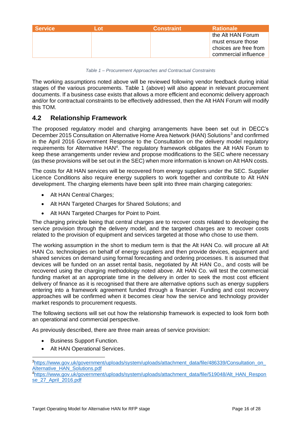| <b>Service</b> | Lot | <b>Constraint</b> | <b>Rationale</b>                                                                        |
|----------------|-----|-------------------|-----------------------------------------------------------------------------------------|
|                |     |                   | the Alt HAN Forum<br>must ensure those<br>choices are free from<br>commercial influence |

| Table 1 - Procurement Approaches and Contractual Constraints |  |
|--------------------------------------------------------------|--|
|--------------------------------------------------------------|--|

The working assumptions noted above will be reviewed following vendor feedback during initial stages of the various procurements. Table 1 (above) will also appear in relevant procurement documents. If a business case exists that allows a more efficient and economic delivery approach and/or for contractual constraints to be effectively addressed, then the Alt HAN Forum will modify this TOM.

#### <span id="page-15-0"></span>**4.2 Relationship Framework**

The proposed regulatory model and charging arrangements have been set out in DECC's December 2015 Consultation on Alternative Home Area Network (HAN) Solutions<sup>3</sup> and confirmed in the April 2016 Government Response to the Consultation on the delivery model regulatory requirements for Alternative HAN<sup>4</sup>. The regulatory framework obligates the Alt HAN Forum to keep these arrangements under review and propose modifications to the SEC where necessary (as these provisions will be set out in the SEC) when more information is known on Alt HAN costs.

The costs for Alt HAN services will be recovered from energy suppliers under the SEC. Supplier Licence Conditions also require energy suppliers to work together and contribute to Alt HAN development. The charging elements have been split into three main charging categories:

- Alt HAN Central Charges;
- Alt HAN Targeted Charges for Shared Solutions; and
- Alt HAN Targeted Charges for Point to Point.

The charging principle being that central charges are to recover costs related to developing the service provision through the delivery model, and the targeted charges are to recover costs related to the provision of equipment and services targeted at those who chose to use them.

The working assumption in the short to medium term is that the Alt HAN Co. will procure all Alt HAN Co. technologies on behalf of energy suppliers and then provide devices, equipment and shared services on demand using formal forecasting and ordering processes. It is assumed that devices will be funded on an asset rental basis, negotiated by Alt HAN Co., and costs will be recovered using the charging methodology noted above. Alt HAN Co. will test the commercial funding market at an appropriate time in the delivery in order to seek the most cost efficient delivery of finance as it is recognised that there are alternative options such as energy suppliers entering into a framework agreement funded through a financier. Funding and cost recovery approaches will be confirmed when it becomes clear how the service and technology provider market responds to procurement requests.

The following sections will set out how the relationship framework is expected to look form both an operational and commercial perspective.

As previously described, there are three main areas of service provision:

- Business Support Function.
- Alt HAN Operational Services.

<sup>3</sup>[https://www.gov.uk/government/uploads/system/uploads/attachment\\_data/file/486339/Consultation\\_on\\_](https://www.gov.uk/government/uploads/system/uploads/attachment_data/file/486339/Consultation_on_Alternative_HAN_Solutions.pdf) [Alternative\\_HAN\\_Solutions.pdf](https://www.gov.uk/government/uploads/system/uploads/attachment_data/file/486339/Consultation_on_Alternative_HAN_Solutions.pdf)

<sup>4</sup>[https://www.gov.uk/government/uploads/system/uploads/attachment\\_data/file/519048/Alt\\_HAN\\_Respon](https://www.gov.uk/government/uploads/system/uploads/attachment_data/file/519048/Alt_HAN_Response_27_April_2016.pdf) [se\\_27\\_April\\_2016.pdf](https://www.gov.uk/government/uploads/system/uploads/attachment_data/file/519048/Alt_HAN_Response_27_April_2016.pdf)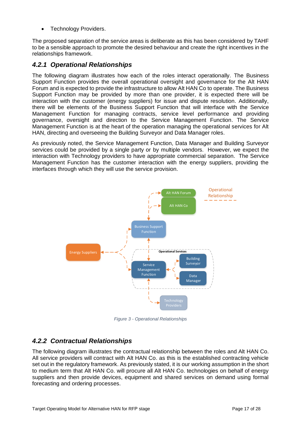Technology Providers.

The proposed separation of the service areas is deliberate as this has been considered by TAHF to be a sensible approach to promote the desired behaviour and create the right incentives in the relationships framework.

### <span id="page-16-0"></span>*4.2.1 Operational Relationships*

The following diagram illustrates how each of the roles interact operationally. The Business Support Function provides the overall operational oversight and governance for the Alt HAN Forum and is expected to provide the infrastructure to allow Alt HAN Co to operate. The Business Support Function may be provided by more than one provider, it is expected there will be interaction with the customer (energy suppliers) for issue and dispute resolution. Additionally, there will be elements of the Business Support Function that will interface with the Service Management Function for managing contracts, service level performance and providing governance, oversight and direction to the Service Management Function. The Service Management Function is at the heart of the operation managing the operational services for Alt HAN, directing and overseeing the Building Surveyor and Data Manager roles.

As previously noted, the Service Management Function, Data Manager and Building Surveyor services could be provided by a single party or by multiple vendors. However, we expect the interaction with Technology providers to have appropriate commercial separation. The Service Management Function has the customer interaction with the energy suppliers, providing the interfaces through which they will use the service provision.



*Figure 3 - Operational Relationships*

### <span id="page-16-1"></span>*4.2.2 Contractual Relationships*

The following diagram illustrates the contractual relationship between the roles and Alt HAN Co. All service providers will contract with Alt HAN Co. as this is the established contracting vehicle set out in the regulatory framework. As previously stated, it is our working assumption in the short to medium term that Alt HAN Co. will procure all Alt HAN Co. technologies on behalf of energy suppliers and then provide devices, equipment and shared services on demand using formal forecasting and ordering processes.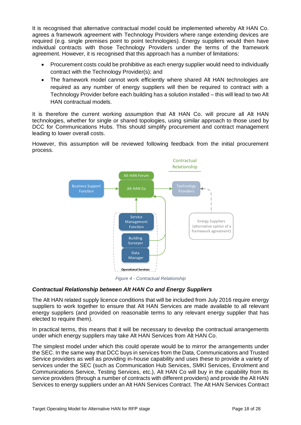It is recognised that alternative contractual model could be implemented whereby Alt HAN Co. agrees a framework agreement with Technology Providers where range extending devices are required (e.g. single premises point to point technologies). Energy suppliers would then have individual contracts with those Technology Providers under the terms of the framework agreement. However, it is recognised that this approach has a number of limitations:

- Procurement costs could be prohibitive as each energy supplier would need to individually contract with the Technology Provider(s); and
- The framework model cannot work efficiently where shared Alt HAN technologies are required as any number of energy suppliers will then be required to contract with a Technology Provider before each building has a solution installed – this will lead to two Alt HAN contractual models.

It is therefore the current working assumption that Alt HAN Co. will procure all Alt HAN technologies, whether for single or shared topologies, using similar approach to those used by DCC for Communications Hubs. This should simplify procurement and contract management leading to lower overall costs.

However, this assumption will be reviewed following feedback from the initial procurement process.



*Figure 4 - Contractual Relationship*

#### *Contractual Relationship between Alt HAN Co and Energy Suppliers*

The Alt HAN related supply licence conditions that will be included from July 2016 require energy suppliers to work together to ensure that Alt HAN Services are made available to all relevant energy suppliers (and provided on reasonable terms to any relevant energy supplier that has elected to require them).

In practical terms, this means that it will be necessary to develop the contractual arrangements under which energy suppliers may take Alt HAN Services from Alt HAN Co.

The simplest model under which this could operate would be to mirror the arrangements under the SEC. In the same way that DCC buys in services from the Data, Communications and Trusted Service providers as well as providing in-house capability and uses these to provide a variety of services under the SEC (such as Communication Hub Services, SMKI Services, Enrolment and Communications Service, Testing Services, etc.), Alt HAN Co will buy in the capability from its service providers (through a number of contracts with different providers) and provide the Alt HAN Services to energy suppliers under an Alt HAN Services Contract. The Alt HAN Services Contract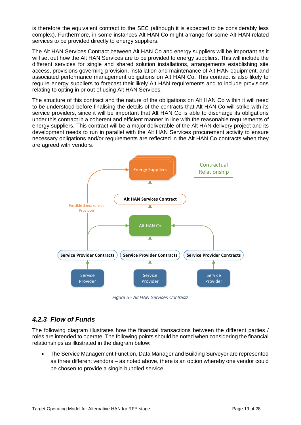is therefore the equivalent contract to the SEC (although it is expected to be considerably less complex). Furthermore, in some instances Alt HAN Co might arrange for some Alt HAN related services to be provided directly to energy suppliers.

The Alt HAN Services Contract between Alt HAN Co and energy suppliers will be important as it will set out how the Alt HAN Services are to be provided to energy suppliers. This will include the different services for single and shared solution installations, arrangements establishing site access, provisions governing provision, installation and maintenance of Alt HAN equipment, and associated performance management obligations on Alt HAN Co. This contract is also likely to require energy suppliers to forecast their likely Alt HAN requirements and to include provisions relating to opting in or out of using Alt HAN Services.

The structure of this contract and the nature of the obligations on Alt HAN Co within it will need to be understood before finalising the details of the contracts that Alt HAN Co will strike with its service providers, since it will be important that Alt HAN Co is able to discharge its obligations under this contract in a coherent and efficient manner in line with the reasonable requirements of energy suppliers. This contract will be a major deliverable of the Alt HAN delivery project and its development needs to run in parallel with the Alt HAN Services procurement activity to ensure necessary obligations and/or requirements are reflected in the Alt HAN Co contracts when they are agreed with vendors.



*Figure 5 - Alt HAN Services Contracts*

### <span id="page-18-0"></span>*4.2.3 Flow of Funds*

The following diagram illustrates how the financial transactions between the different parties / roles are intended to operate. The following points should be noted when considering the financial relationships as illustrated in the diagram below:

 The Service Management Function, Data Manager and Building Surveyor are represented as three different vendors – as noted above, there is an option whereby one vendor could be chosen to provide a single bundled service.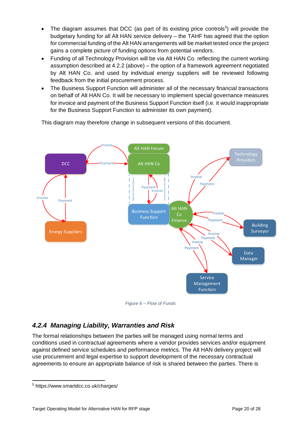- The diagram assumes that DCC (as part of its existing price controls<sup>5</sup>) will provide the budgetary funding for all Alt HAN service delivery – the TAHF has agreed that the option for commercial funding of the Alt HAN arrangements will be market tested once the project gains a complete picture of funding options from potential vendors.
- Funding of all Technology Provision will be via Alt HAN Co. reflecting the current working assumption described at 4.2.2 (above) – the option of a framework agreement negotiated by Alt HAN Co. and used by individual energy suppliers will be reviewed following feedback from the initial procurement process.
- The Business Support Function will administer all of the necessary financial transactions on behalf of Alt HAN Co. It will be necessary to implement special governance measures for invoice and payment of the Business Support Function itself (i.e. it would inappropriate for the Business Support Function to administer its own payment).

This diagram may therefore change in subsequent versions of this document.



*Figure 6 – Flow of Funds*

### <span id="page-19-0"></span>*4.2.4 Managing Liability, Warranties and Risk*

The formal relationships between the parties will be managed using normal terms and conditions used in contractual agreements where a vendor provides services and/or equipment against defined service schedules and performance metrics. The Alt HAN delivery project will use procurement and legal expertise to support development of the necessary contractual agreements to ensure an appropriate balance of risk is shared between the parties. There is

<sup>5</sup> https://www.smartdcc.co.uk/charges/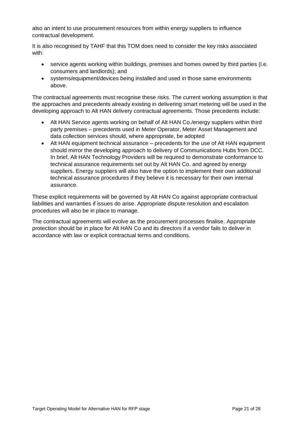also an intent to use procurement resources from within energy suppliers to influence contractual development.

It is also recognised by TAHF that this TOM does need to consider the key risks associated with:

- service agents working within buildings, premises and homes owned by third parties (i.e. consumers and landlords); and
- systems/equipment/devices being installed and used in those same environments above.

The contractual agreements must recognise these risks. The current working assumption is that the approaches and precedents already existing in delivering smart metering will be used in the developing approach to Alt HAN delivery contractual agreements. Those precedents include:

- Alt HAN Service agents working on behalf of Alt HAN Co./energy suppliers within third party premises – precedents used in Meter Operator, Meter Asset Management and data collection services should, where appropriate, be adopted
- Alt HAN equipment technical assurance precedents for the use of Alt HAN equipment should mirror the developing approach to delivery of Communications Hubs from DCC. In brief, Alt HAN Technology Providers will be required to demonstrate conformance to technical assurance requirements set out by Alt HAN Co. and agreed by energy suppliers. Energy suppliers will also have the option to implement their own additional technical assurance procedures if they believe it is necessary for their own internal assurance.

These explicit requirements will be governed by Alt HAN Co against appropriate contractual liabilities and warranties if issues do arise. Appropriate dispute resolution and escalation procedures will also be in place to manage.

The contractual agreements will evolve as the procurement processes finalise. Appropriate protection should be in place for Alt HAN Co and its directors if a vendor fails to deliver in accordance with law or explicit contractual terms and conditions.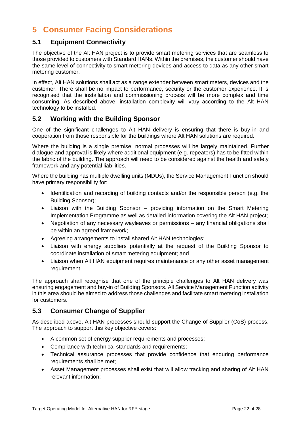# <span id="page-21-0"></span>**5 Consumer Facing Considerations**

#### <span id="page-21-1"></span>**5.1 Equipment Connectivity**

The objective of the Alt HAN project is to provide smart metering services that are seamless to those provided to customers with Standard HANs. Within the premises, the customer should have the same level of connectivity to smart metering devices and access to data as any other smart metering customer.

In effect, Alt HAN solutions shall act as a range extender between smart meters, devices and the customer. There shall be no impact to performance, security or the customer experience. It is recognised that the installation and commissioning process will be more complex and time consuming. As described above, installation complexity will vary according to the Alt HAN technology to be installed.

#### <span id="page-21-2"></span>**5.2 Working with the Building Sponsor**

One of the significant challenges to Alt HAN delivery is ensuring that there is buy-in and cooperation from those responsible for the buildings where Alt HAN solutions are required.

Where the building is a single premise, normal processes will be largely maintained. Further dialogue and approval is likely where additional equipment (e.g. repeaters) has to be fitted within the fabric of the building. The approach will need to be considered against the health and safety framework and any potential liabilities.

Where the building has multiple dwelling units (MDUs), the Service Management Function should have primary responsibility for:

- Identification and recording of building contacts and/or the responsible person (e.g. the Building Sponsor);
- Liaison with the Building Sponsor providing information on the Smart Metering Implementation Programme as well as detailed information covering the Alt HAN project;
- Negotiation of any necessary wayleaves or permissions any financial obligations shall be within an agreed framework;
- Agreeing arrangements to install shared Alt HAN technologies;
- Liaison with energy suppliers potentially at the request of the Building Sponsor to coordinate installation of smart metering equipment; and
- Liaison when Alt HAN equipment requires maintenance or any other asset management requirement.

The approach shall recognise that one of the principle challenges to Alt HAN delivery was ensuring engagement and buy-in of Building Sponsors. All Service Management Function activity in this area should be aimed to address those challenges and facilitate smart metering installation for customers.

#### <span id="page-21-3"></span>**5.3 Consumer Change of Supplier**

As described above, Alt HAN processes should support the Change of Supplier (CoS) process. The approach to support this key objective covers:

- A common set of energy supplier requirements and processes;
- Compliance with technical standards and requirements;
- Technical assurance processes that provide confidence that enduring performance requirements shall be met;
- Asset Management processes shall exist that will allow tracking and sharing of Alt HAN relevant information;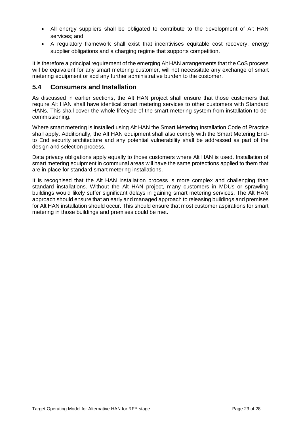- All energy suppliers shall be obligated to contribute to the development of Alt HAN services; and
- A regulatory framework shall exist that incentivises equitable cost recovery, energy supplier obligations and a charging regime that supports competition.

It is therefore a principal requirement of the emerging Alt HAN arrangements that the CoS process will be equivalent for any smart metering customer, will not necessitate any exchange of smart metering equipment or add any further administrative burden to the customer.

#### <span id="page-22-0"></span>**5.4 Consumers and Installation**

As discussed in earlier sections, the Alt HAN project shall ensure that those customers that require Alt HAN shall have identical smart metering services to other customers with Standard HANs. This shall cover the whole lifecycle of the smart metering system from installation to decommissioning.

Where smart metering is installed using Alt HAN the Smart Metering Installation Code of Practice shall apply. Additionally, the Alt HAN equipment shall also comply with the Smart Metering Endto End security architecture and any potential vulnerability shall be addressed as part of the design and selection process.

Data privacy obligations apply equally to those customers where Alt HAN is used. Installation of smart metering equipment in communal areas will have the same protections applied to them that are in place for standard smart metering installations.

It is recognised that the Alt HAN installation process is more complex and challenging than standard installations. Without the Alt HAN project, many customers in MDUs or sprawling buildings would likely suffer significant delays in gaining smart metering services. The Alt HAN approach should ensure that an early and managed approach to releasing buildings and premises for Alt HAN installation should occur. This should ensure that most customer aspirations for smart metering in those buildings and premises could be met.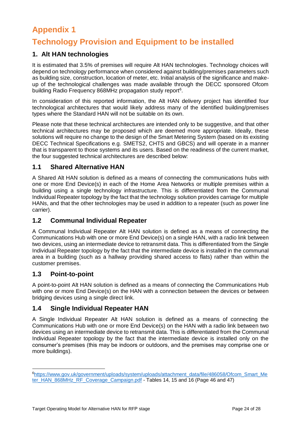# <span id="page-23-1"></span><span id="page-23-0"></span>**Appendix 1 Technology Provision and Equipment to be installed**

### <span id="page-23-2"></span>**1. Alt HAN technologies**

It is estimated that 3.5% of premises will require Alt HAN technologies. Technology choices will depend on technology performance when considered against building/premises parameters such as building size, construction, location of meter, etc. Initial analysis of the significance and makeup of the technological challenges was made available through the DECC sponsored Ofcom building Radio Frequency 868MHz propagation study report<sup>6</sup>.

In consideration of this reported information, the Alt HAN delivery project has identified four technological architectures that would likely address many of the identified building/premises types where the Standard HAN will not be suitable on its own.

Please note that these technical architectures are intended only to be suggestive, and that other technical architectures may be proposed which are deemed more appropriate. Ideally, these solutions will require no change to the design of the Smart Metering System (based on its existing DECC Technical Specifications e.g. SMETS2, CHTS and GBCS) and will operate in a manner that is transparent to those systems and its users. Based on the readiness of the current market, the four suggested technical architectures are described below:

#### <span id="page-23-3"></span>**1.1 Shared Alternative HAN**

A Shared Alt HAN solution is defined as a means of connecting the communications hubs with one or more End Device(s) in each of the Home Area Networks or multiple premises within a building using a single technology infrastructure. This is differentiated from the Communal Individual Repeater topology by the fact that the technology solution provides carriage for multiple HANs, and that the other technologies may be used in addition to a repeater (such as power line carrier).

#### <span id="page-23-4"></span>**1.2 Communal Individual Repeater**

A Communal Individual Repeater Alt HAN solution is defined as a means of connecting the Communications Hub with one or more End Device(s) on a single HAN, with a radio link between two devices, using an intermediate device to retransmit data. This is differentiated from the Single Individual Repeater topology by the fact that the intermediate device is installed in the communal area in a building (such as a hallway providing shared access to flats) rather than within the customer premises.

#### <span id="page-23-5"></span>**1.3 Point-to-point**

A point-to-point Alt HAN solution is defined as a means of connecting the Communications Hub with one or more End Device(s) on the HAN with a connection between the devices or between bridging devices using a single direct link.

### <span id="page-23-6"></span>**1.4 Single Individual Repeater HAN**

A Single Individual Repeater Alt HAN solution is defined as a means of connecting the Communications Hub with one or more End Device(s) on the HAN with a radio link between two devices using an intermediate device to retransmit data. This is differentiated from the Communal Individual Repeater topology by the fact that the intermediate device is installed only on the consumer's premises (this may be indoors or outdoors, and the premises may comprise one or more buildings).

<sup>6</sup>[https://www.gov.uk/government/uploads/system/uploads/attachment\\_data/file/486058/Ofcom\\_Smart\\_Me](https://www.gov.uk/government/uploads/system/uploads/attachment_data/file/486058/Ofcom_Smart_Meter_HAN_868MHz_RF_Coverage_Campaign.pdf) [ter\\_HAN\\_868MHz\\_RF\\_Coverage\\_Campaign.pdf](https://www.gov.uk/government/uploads/system/uploads/attachment_data/file/486058/Ofcom_Smart_Meter_HAN_868MHz_RF_Coverage_Campaign.pdf) - Tables 14, 15 and 16 (Page 46 and 47)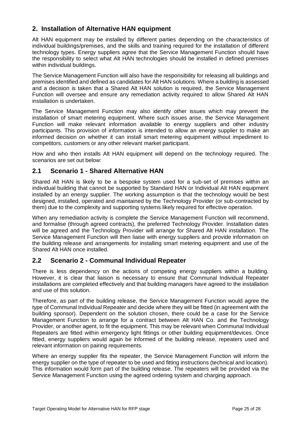### <span id="page-24-0"></span>**2. Installation of Alternative HAN equipment**

Alt HAN equipment may be installed by different parties depending on the characteristics of individual buildings/premises, and the skills and training required for the installation of different technology types. Energy suppliers agree that the Service Management Function should have the responsibility to select what Alt HAN technologies should be installed in defined premises within individual buildings.

The Service Management Function will also have the responsibility for releasing all buildings and premises identified and defined as candidates for Alt HAN solutions. Where a building is assessed and a decision is taken that a Shared Alt HAN solution is required, the Service Management Function will oversee and ensure any remediation activity required to allow Shared Alt HAN installation is undertaken.

The Service Management Function may also identify other issues which may prevent the installation of smart metering equipment. Where such issues arise, the Service Management Function will make relevant information available to energy suppliers and other industry participants. This provision of information is intended to allow an energy supplier to make an informed decision on whether it can install smart metering equipment without impediment to competitors, customers or any other relevant market participant.

How and who then installs Alt HAN equipment will depend on the technology required. The scenarios are set out below:

#### <span id="page-24-1"></span>**2.1 Scenario 1 - Shared Alternative HAN**

Shared Alt HAN is likely to be a bespoke system used for a sub-set of premises within an individual building that cannot be supported by Standard HAN or Individual Alt HAN equipment installed by an energy supplier. The working assumption is that the technology would be best designed, installed, operated and maintained by the Technology Provider (or sub-contracted by them) due to the complexity and supporting systems likely required for effective operation.

When any remediation activity is complete the Service Management Function will recommend, and formalise (through agreed contracts), the preferred Technology Provider. Installation dates will be agreed and the Technology Provider will arrange for Shared Alt HAN installation. The Service Management Function will then liaise with energy suppliers and provide information on the building release and arrangements for installing smart metering equipment and use of the Shared Alt HAN once installed.

#### <span id="page-24-2"></span>**2.2 Scenario 2 - Communal Individual Repeater**

There is less dependency on the actions of competing energy suppliers within a building. However, it is clear that liaison is necessary to ensure that Communal Individual Repeater installations are completed effectively and that building managers have agreed to the installation and use of this solution.

Therefore, as part of the building release, the Service Management Function would agree the type of Communal Individual Repeater and decide where they will be fitted (in agreement with the building sponsor). Dependent on the solution chosen, there could be a case for the Service Management Function to arrange for a contract between Alt HAN Co. and the Technology Provider, or another agent, to fit the equipment. This may be relevant when Communal Individual Repeaters are fitted within emergency light fittings or other building equipment/devices. Once fitted, energy suppliers would again be informed of the building release, repeaters used and relevant information on pairing requirements.

Where an energy supplier fits the repeater, the Service Management Function will inform the energy supplier on the type of repeater to be used and fitting instructions (technical and location). This information would form part of the building release. The repeaters will be provided via the Service Management Function using the agreed ordering system and charging approach.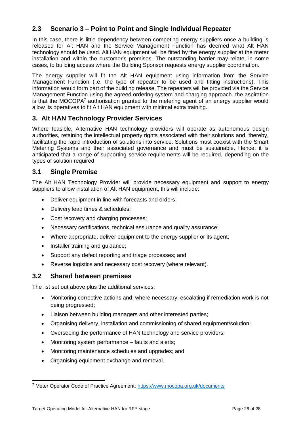### <span id="page-25-0"></span>**2.3 Scenario 3 – Point to Point and Single Individual Repeater**

In this case, there is little dependency between competing energy suppliers once a building is released for Alt HAN and the Service Management Function has deemed what Alt HAN technology should be used. Alt HAN equipment will be fitted by the energy supplier at the meter installation and within the customer's premises. The outstanding barrier may relate, in some cases, to building access where the Building Sponsor requests energy supplier coordination.

The energy supplier will fit the Alt HAN equipment using information from the Service Management Function (i.e. the type of repeater to be used and fitting instructions). This information would form part of the building release. The repeaters will be provided via the Service Management Function using the agreed ordering system and charging approach. the aspiration is that the MOCOPA $<sup>7</sup>$  authorisation granted to the metering agent of an energy supplier would</sup> allow its operatives to fit Alt HAN equipment with minimal extra training.

#### <span id="page-25-1"></span>**3. Alt HAN Technology Provider Services**

Where feasible, Alternative HAN technology providers will operate as autonomous design authorities, retaining the intellectual property rights associated with their solutions and, thereby, facilitating the rapid introduction of solutions into service. Solutions must coexist with the Smart Metering Systems and their associated governance and must be sustainable. Hence, it is anticipated that a range of supporting service requirements will be required, depending on the types of solution required:

#### <span id="page-25-2"></span>**3.1 Single Premise**

The Alt HAN Technology Provider will provide necessary equipment and support to energy suppliers to allow installation of Alt HAN equipment, this will include:

- Deliver equipment in line with forecasts and orders;
- Delivery lead times & schedules;
- Cost recovery and charging processes;
- Necessary certifications, technical assurance and quality assurance;
- Where appropriate, deliver equipment to the energy supplier or its agent;
- Installer training and guidance;
- Support any defect reporting and triage processes; and
- Reverse logistics and necessary cost recovery (where relevant).

#### <span id="page-25-3"></span>**3.2 Shared between premises**

The list set out above plus the additional services:

- Monitoring corrective actions and, where necessary, escalating if remediation work is not being progressed;
- Liaison between building managers and other interested parties;
- Organising delivery, installation and commissioning of shared equipment/solution;
- Overseeing the performance of HAN technology and service providers;
- Monitoring system performance faults and alerts;
- Monitoring maintenance schedules and upgrades; and
- Organising equipment exchange and removal.

<sup>7</sup> Meter Operator Code of Practice Agreement:<https://www.mocopa.org.uk/documents>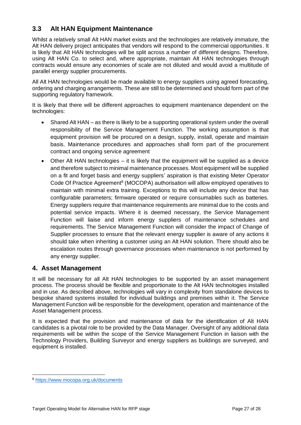### <span id="page-26-0"></span>**3.3 Alt HAN Equipment Maintenance**

Whilst a relatively small Alt HAN market exists and the technologies are relatively immature, the Alt HAN delivery project anticipates that vendors will respond to the commercial opportunities. It is likely that Alt HAN technologies will be split across a number of different designs. Therefore, using Alt HAN Co. to select and, where appropriate, maintain Alt HAN technologies through contracts would ensure any economies of scale are not diluted and would avoid a multitude of parallel energy supplier procurements.

All Alt HAN technologies would be made available to energy suppliers using agreed forecasting, ordering and charging arrangements. These are still to be determined and should form part of the supporting regulatory framework.

It is likely that there will be different approaches to equipment maintenance dependent on the technologies:

- Shared Alt HAN as there is likely to be a supporting operational system under the overall responsibility of the Service Management Function. The working assumption is that equipment provision will be procured on a design, supply, install, operate and maintain basis. Maintenance procedures and approaches shall form part of the procurement contract and ongoing service agreement
- Other Alt HAN technologies it is likely that the equipment will be supplied as a device and therefore subject to minimal maintenance processes. Most equipment will be supplied on a fit and forget basis and energy suppliers' aspiration is that existing Meter Operator Code Of Practice Agreement<sup>8</sup> (MOCOPA) authorisation will allow employed operatives to maintain with minimal extra training. Exceptions to this will include any device that has configurable parameters; firmware operated or require consumables such as batteries. Energy suppliers require that maintenance requirements are minimal due to the costs and potential service impacts. Where it is deemed necessary, the Service Management Function will liaise and inform energy suppliers of maintenance schedules and requirements. The Service Management Function will consider the impact of Change of Supplier processes to ensure that the relevant energy supplier is aware of any actions it should take when inheriting a customer using an Alt HAN solution. There should also be escalation routes through governance processes when maintenance is not performed by any energy supplier.

#### <span id="page-26-1"></span>**4. Asset Management**

It will be necessary for all Alt HAN technologies to be supported by an asset management process. The process should be flexible and proportionate to the Alt HAN technologies installed and in use. As described above, technologies will vary in complexity from standalone devices to bespoke shared systems installed for individual buildings and premises within it. The Service Management Function will be responsible for the development, operation and maintenance of the Asset Management process.

It is expected that the provision and maintenance of data for the identification of Alt HAN candidates is a pivotal role to be provided by the Data Manager. Oversight of any additional data requirements will be within the scope of the Service Management Function in liaison with the Technology Providers, Building Surveyor and energy suppliers as buildings are surveyed, and equipment is installed.

<sup>8</sup> <https://www.mocopa.org.uk/documents>